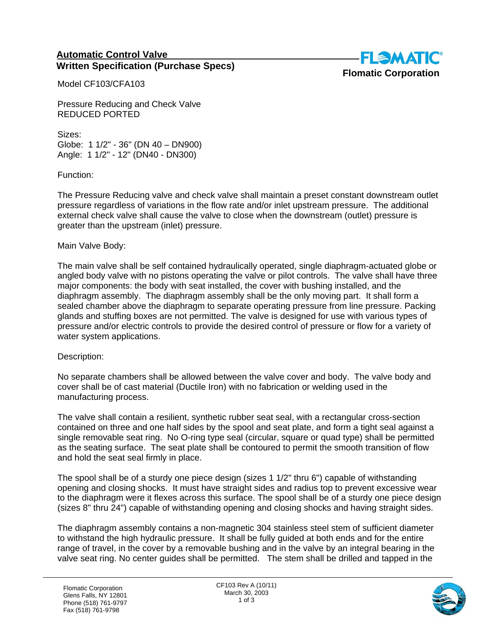## **Automatic Control Valve Written Specification (Purchase Specs)**



Model CF103/CFA103

Pressure Reducing and Check Valve REDUCED PORTED

Sizes: Globe: 1 1/2" - 36" (DN 40 – DN900) Angle: 1 1/2" - 12" (DN40 - DN300)

Function:

The Pressure Reducing valve and check valve shall maintain a preset constant downstream outlet pressure regardless of variations in the flow rate and/or inlet upstream pressure. The additional external check valve shall cause the valve to close when the downstream (outlet) pressure is greater than the upstream (inlet) pressure.

## Main Valve Body:

The main valve shall be self contained hydraulically operated, single diaphragm-actuated globe or angled body valve with no pistons operating the valve or pilot controls. The valve shall have three major components: the body with seat installed, the cover with bushing installed, and the diaphragm assembly. The diaphragm assembly shall be the only moving part. It shall form a sealed chamber above the diaphragm to separate operating pressure from line pressure. Packing glands and stuffing boxes are not permitted. The valve is designed for use with various types of pressure and/or electric controls to provide the desired control of pressure or flow for a variety of water system applications.

## Description:

No separate chambers shall be allowed between the valve cover and body. The valve body and cover shall be of cast material (Ductile Iron) with no fabrication or welding used in the manufacturing process.

The valve shall contain a resilient, synthetic rubber seat seal, with a rectangular cross-section contained on three and one half sides by the spool and seat plate, and form a tight seal against a single removable seat ring. No O-ring type seal (circular, square or quad type) shall be permitted as the seating surface. The seat plate shall be contoured to permit the smooth transition of flow and hold the seat seal firmly in place.

The spool shall be of a sturdy one piece design (sizes 1 1/2" thru 6") capable of withstanding opening and closing shocks. It must have straight sides and radius top to prevent excessive wear to the diaphragm were it flexes across this surface. The spool shall be of a sturdy one piece design (sizes 8" thru 24") capable of withstanding opening and closing shocks and having straight sides.

The diaphragm assembly contains a non-magnetic 304 stainless steel stem of sufficient diameter to withstand the high hydraulic pressure. It shall be fully guided at both ends and for the entire range of travel, in the cover by a removable bushing and in the valve by an integral bearing in the valve seat ring. No center guides shall be permitted. The stem shall be drilled and tapped in the

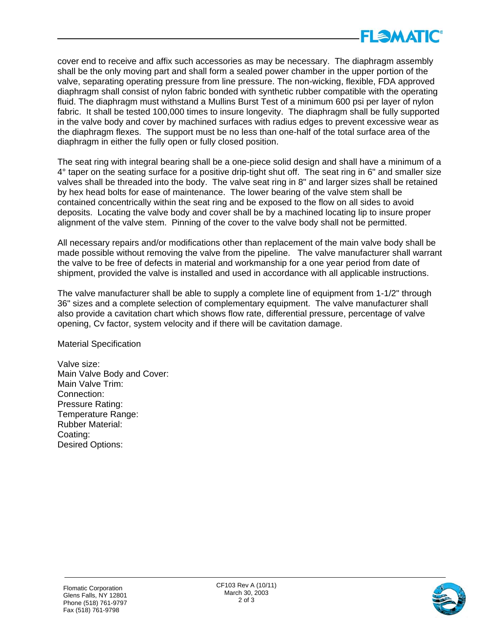

cover end to receive and affix such accessories as may be necessary. The diaphragm assembly shall be the only moving part and shall form a sealed power chamber in the upper portion of the valve, separating operating pressure from line pressure. The non-wicking, flexible, FDA approved diaphragm shall consist of nylon fabric bonded with synthetic rubber compatible with the operating fluid. The diaphragm must withstand a Mullins Burst Test of a minimum 600 psi per layer of nylon fabric. It shall be tested 100,000 times to insure longevity. The diaphragm shall be fully supported in the valve body and cover by machined surfaces with radius edges to prevent excessive wear as the diaphragm flexes. The support must be no less than one-half of the total surface area of the diaphragm in either the fully open or fully closed position.

The seat ring with integral bearing shall be a one-piece solid design and shall have a minimum of a 4° taper on the seating surface for a positive drip-tight shut off. The seat ring in 6" and smaller size valves shall be threaded into the body. The valve seat ring in 8" and larger sizes shall be retained by hex head bolts for ease of maintenance. The lower bearing of the valve stem shall be contained concentrically within the seat ring and be exposed to the flow on all sides to avoid deposits. Locating the valve body and cover shall be by a machined locating lip to insure proper alignment of the valve stem. Pinning of the cover to the valve body shall not be permitted.

All necessary repairs and/or modifications other than replacement of the main valve body shall be made possible without removing the valve from the pipeline. The valve manufacturer shall warrant the valve to be free of defects in material and workmanship for a one year period from date of shipment, provided the valve is installed and used in accordance with all applicable instructions.

The valve manufacturer shall be able to supply a complete line of equipment from 1-1/2" through 36" sizes and a complete selection of complementary equipment. The valve manufacturer shall also provide a cavitation chart which shows flow rate, differential pressure, percentage of valve opening, Cv factor, system velocity and if there will be cavitation damage.

Material Specification

Valve size: Main Valve Body and Cover: Main Valve Trim: Connection: Pressure Rating: Temperature Range: Rubber Material: Coating: Desired Options: